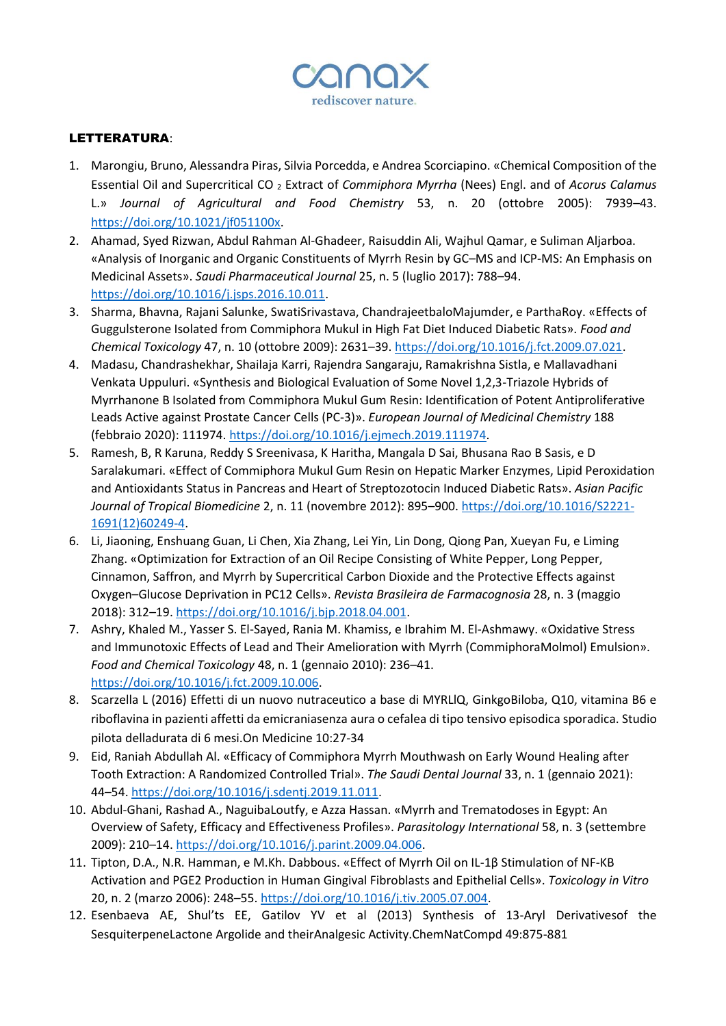

## LETTERATURA:

- 1. Marongiu, Bruno, Alessandra Piras, Silvia Porcedda, e Andrea Scorciapino. «Chemical Composition of the Essential Oil and Supercritical CO <sup>2</sup> Extract of *Commiphora Myrrha* (Nees) Engl. and of *Acorus Calamus* L.» *Journal of Agricultural and Food Chemistry* 53, n. 20 (ottobre 2005): 7939–43. [https://doi.org/10.1021/jf051100x.](https://doi.org/10.1021/jf051100x)
- 2. Ahamad, Syed Rizwan, Abdul Rahman Al-Ghadeer, Raisuddin Ali, Wajhul Qamar, e Suliman Aljarboa. «Analysis of Inorganic and Organic Constituents of Myrrh Resin by GC–MS and ICP-MS: An Emphasis on Medicinal Assets». *Saudi Pharmaceutical Journal* 25, n. 5 (luglio 2017): 788–94. [https://doi.org/10.1016/j.jsps.2016.10.011.](https://doi.org/10.1016/j.jsps.2016.10.011)
- 3. Sharma, Bhavna, Rajani Salunke, SwatiSrivastava, ChandrajeetbaloMajumder, e ParthaRoy. «Effects of Guggulsterone Isolated from Commiphora Mukul in High Fat Diet Induced Diabetic Rats». *Food and Chemical Toxicology* 47, n. 10 (ottobre 2009): 2631–39. [https://doi.org/10.1016/j.fct.2009.07.021.](https://doi.org/10.1016/j.fct.2009.07.021)
- 4. Madasu, Chandrashekhar, Shailaja Karri, Rajendra Sangaraju, Ramakrishna Sistla, e Mallavadhani Venkata Uppuluri. «Synthesis and Biological Evaluation of Some Novel 1,2,3-Triazole Hybrids of Myrrhanone B Isolated from Commiphora Mukul Gum Resin: Identification of Potent Antiproliferative Leads Active against Prostate Cancer Cells (PC-3)». *European Journal of Medicinal Chemistry* 188 (febbraio 2020): 111974. [https://doi.org/10.1016/j.ejmech.2019.111974.](https://doi.org/10.1016/j.ejmech.2019.111974)
- 5. Ramesh, B, R Karuna, Reddy S Sreenivasa, K Haritha, Mangala D Sai, Bhusana Rao B Sasis, e D Saralakumari. «Effect of Commiphora Mukul Gum Resin on Hepatic Marker Enzymes, Lipid Peroxidation and Antioxidants Status in Pancreas and Heart of Streptozotocin Induced Diabetic Rats». *Asian Pacific Journal of Tropical Biomedicine* 2, n. 11 (novembre 2012): 895–900[. https://doi.org/10.1016/S2221-](https://doi.org/10.1016/S2221-1691(12)60249-4) [1691\(12\)60249-4.](https://doi.org/10.1016/S2221-1691(12)60249-4)
- 6. Li, Jiaoning, Enshuang Guan, Li Chen, Xia Zhang, Lei Yin, Lin Dong, Qiong Pan, Xueyan Fu, e Liming Zhang. «Optimization for Extraction of an Oil Recipe Consisting of White Pepper, Long Pepper, Cinnamon, Saffron, and Myrrh by Supercritical Carbon Dioxide and the Protective Effects against Oxygen–Glucose Deprivation in PC12 Cells». *Revista Brasileira de Farmacognosia* 28, n. 3 (maggio 2018): 312–19. [https://doi.org/10.1016/j.bjp.2018.04.001.](https://doi.org/10.1016/j.bjp.2018.04.001)
- 7. Ashry, Khaled M., Yasser S. El-Sayed, Rania M. Khamiss, e Ibrahim M. El-Ashmawy. «Oxidative Stress and Immunotoxic Effects of Lead and Their Amelioration with Myrrh (CommiphoraMolmol) Emulsion». *Food and Chemical Toxicology* 48, n. 1 (gennaio 2010): 236–41. [https://doi.org/10.1016/j.fct.2009.10.006.](https://doi.org/10.1016/j.fct.2009.10.006)
- 8. Scarzella L (2016) Effetti di un nuovo nutraceutico a base di MYRLlQ, GinkgoBiloba, Q10, vitamina B6 e riboflavina in pazienti affetti da emicraniasenza aura o cefalea di tipo tensivo episodica sporadica. Studio pilota delladurata di 6 mesi.On Medicine 10:27-34
- 9. Eid, Raniah Abdullah Al. «Efficacy of Commiphora Myrrh Mouthwash on Early Wound Healing after Tooth Extraction: A Randomized Controlled Trial». *The Saudi Dental Journal* 33, n. 1 (gennaio 2021): 44–54[. https://doi.org/10.1016/j.sdentj.2019.11.011.](https://doi.org/10.1016/j.sdentj.2019.11.011)
- 10. Abdul-Ghani, Rashad A., NaguibaLoutfy, e Azza Hassan. «Myrrh and Trematodoses in Egypt: An Overview of Safety, Efficacy and Effectiveness Profiles». *Parasitology International* 58, n. 3 (settembre 2009): 210–14. [https://doi.org/10.1016/j.parint.2009.04.006.](https://doi.org/10.1016/j.parint.2009.04.006)
- 11. Tipton, D.A., N.R. Hamman, e M.Kh. Dabbous. «Effect of Myrrh Oil on IL-1β Stimulation of NF-ΚB Activation and PGE2 Production in Human Gingival Fibroblasts and Epithelial Cells». *Toxicology in Vitro* 20, n. 2 (marzo 2006): 248–55[. https://doi.org/10.1016/j.tiv.2005.07.004.](https://doi.org/10.1016/j.tiv.2005.07.004)
- 12. Esenbaeva AE, Shul'ts EE, Gatilov YV et al (2013) Synthesis of 13-Aryl Derivativesof the SesquiterpeneLactone Argolide and theirAnalgesic Activity.ChemNatCompd 49:875-881